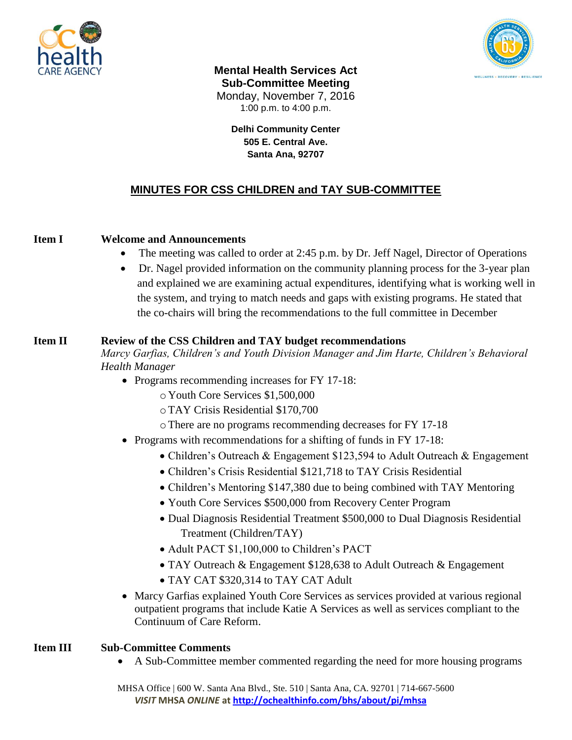



**Mental Health Services Act Sub-Committee Meeting** Monday, November 7, 2016 1:00 p.m. to 4:00 p.m.

> **Delhi Community Center 505 E. Central Ave. Santa Ana, 92707**

# **MINUTES FOR CSS CHILDREN and TAY SUB-COMMITTEE**

## **Item I Welcome and Announcements**

- The meeting was called to order at 2:45 p.m. by Dr. Jeff Nagel, Director of Operations
- Dr. Nagel provided information on the community planning process for the 3-year plan and explained we are examining actual expenditures, identifying what is working well in the system, and trying to match needs and gaps with existing programs. He stated that the co-chairs will bring the recommendations to the full committee in December

#### **Item II Review of the CSS Children and TAY budget recommendations**

*Marcy Garfias, Children's and Youth Division Manager and Jim Harte, Children's Behavioral Health Manager*

- Programs recommending increases for FY 17-18:
	- o Youth Core Services \$1,500,000
	- oTAY Crisis Residential \$170,700
	- oThere are no programs recommending decreases for FY 17-18
- Programs with recommendations for a shifting of funds in FY 17-18:
	- Children's Outreach & Engagement \$123,594 to Adult Outreach & Engagement
	- Children's Crisis Residential \$121,718 to TAY Crisis Residential
	- Children's Mentoring \$147,380 due to being combined with TAY Mentoring
	- Youth Core Services \$500,000 from Recovery Center Program
	- Dual Diagnosis Residential Treatment \$500,000 to Dual Diagnosis Residential Treatment (Children/TAY)
	- Adult PACT \$1,100,000 to Children's PACT
	- TAY Outreach & Engagement \$128,638 to Adult Outreach & Engagement
	- TAY CAT \$320,314 to TAY CAT Adult
- Marcy Garfias explained Youth Core Services as services provided at various regional outpatient programs that include Katie A Services as well as services compliant to the Continuum of Care Reform.

### **Item III Sub-Committee Comments**

A Sub-Committee member commented regarding the need for more housing programs